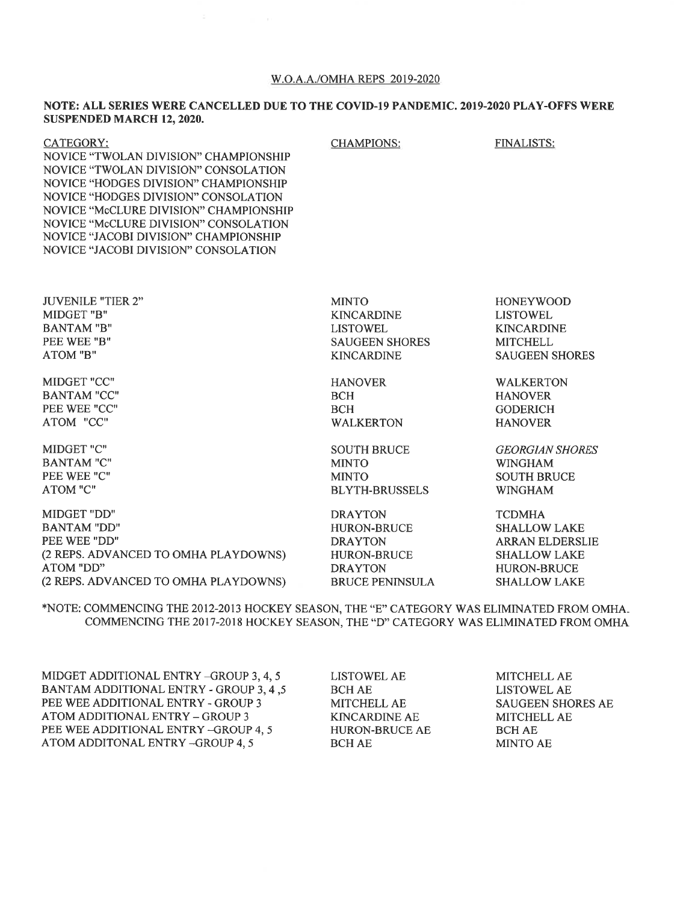#### W.O.A.A./OMHA REPS 2019-2020

CHAMPIONS: FINALISTS:

#### NOTE: ALL SERIES WERE CANCELLED DUE TO THE COVID-19 PANDEMIC. 2019-2020 PLAY-OFFS WERE SUSPENDED MARCH 12, 2020.

| CATEGORY:                              |
|----------------------------------------|
| NOVICE "TWOLAN DIVISION" CHAMPIONSHIP  |
| NOVICE "TWOLAN DIVISION" CONSOLATION   |
| NOVICE "HODGES DIVISION" CHAMPIONSHIP  |
| NOVICE "HODGES DIVISION" CONSOLATION   |
| NOVICE "McCLURE DIVISION" CHAMPIONSHIP |
| NOVICE "McCLURE DIVISION" CONSOLATION  |
| NOVICE "JACOBI DIVISION" CHAMPIONSHIP  |
| NOVICE "JACOBI DIVISION" CONSOLATION   |
|                                        |

JUVENILE "TIER 2" MIDGET ''B'' BANTAM'B'' PEE WEE ''B'' ATOM ''B''

MIDGET ''CC" BANTAM "CC'' PEE WEE "CC" ATOM "CC"

MIDGET ''C'' BANTAM ''C'' PEE WEE "C" ATOM "C"

MIDGET ''DD'' BANTAM ''DD'' PEE WEE ''DD'' (2 REPS. ADVANCED TO OMHA PLAYDOWNS) ATOM ''DD" (2 REPS. ADVANCED TO OMHA PLAYDOWNS) MINTO KINCARDINE LISTOWEL. SAUGEEN SHORES KINCARDINE

HANOVER BCH **BCH** WALKERTON

SOUTH BRUCE MINTO MINTO BLYTH-BRUSSELS

DRAYTON HURON-BRUCE DRAYTON HURON-BRUCE DRAYTON BRUCE PENINSULA HONEYWOOD LISTOWEL KINCARDINE **MITCHELL** SAUGEEN SHORES

WALKERTON **HANOVER** GODERICH HANOVER

GEORGIAN SHORES WINGHAM SOUTH BRUCE WINGHAM

TCDMHA SHALLOW LAKE ARRAN ELDERSLIE SHALLOW LAKE HURON-BRUCE SHALLOWLAKE

\*NOTE: COMMENCING THE 2012-2013 HOCKEY SEASON, THE "E" CATEGORY WAS ELIMINATED FROM OMHA. COMMENCTNG THE 2017-2018 HOCKEY SEASON, THE "D'' CATEGORY WAS ELIMINATED FROM OMHA

MIDGET ADDITIONAL ENTRY \_CROUP 3, 4, <sup>5</sup> BANTAM ADDITIONAL ENTRY - GROUP 3, 4 ,<sup>5</sup> PEE WEE ADDITIONAL ENTRY - GROUP <sup>3</sup> ATOM ADDITIONAL ENTRY - GROUP 3 PEE WEE ADDITIONAL ENTRY -GROUP 4, 5 ATOM ADDITONAL ENTRY -GROUP 4, <sup>5</sup>

LISTOWEL AE BCHAE MITCHELLAE KINCARDINE AE HURON-BRUCE AE BCH AE

**MITCHELL AE** LISTOWEL AE SAUGEEN SHORES AE MITCHELL AE BCH AE MINTO AE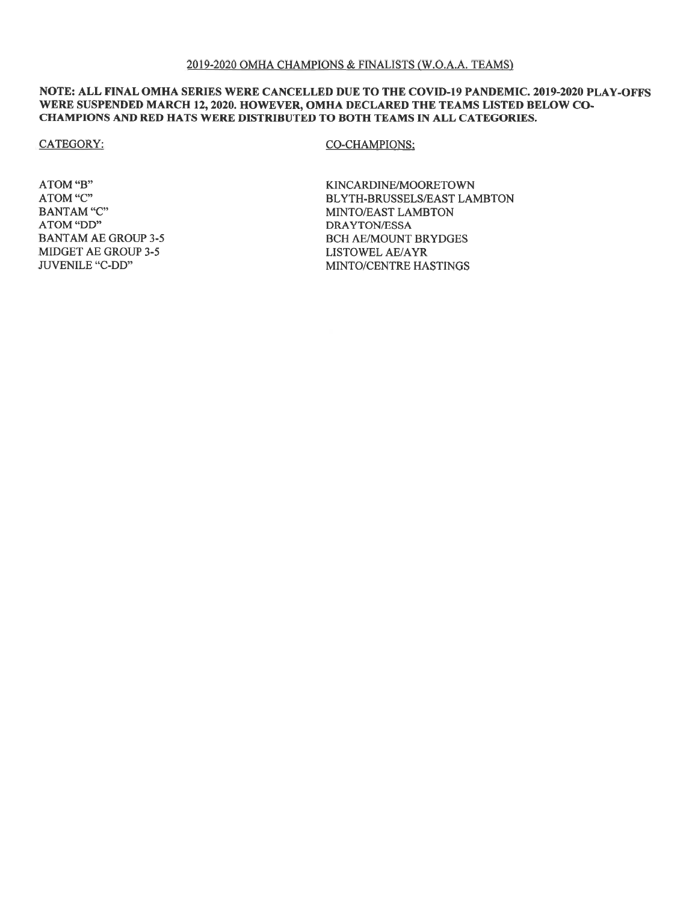# NOTE: ALL FINAL OMHA SERIES WERE CANCELLED DUE TO THE COVID-19 PANDEMIC. 2019-2020 PLAY-OFFS WERE SUSPENDED MARCH 12, 2020. HOWEVER, OMHA DECLARED THE TEAMS LISTED BELOW CO-CHAMPIONS AND RED HATS WERE DISTRIBUTED TO BOTH TEAMS IN ALL CATEGORIES.

**CATEGORY:** 

# **CO-CHAMPIONS:**

ATOM "B" ATOM "C" **BANTAM** "C" ATOM "DD" **BANTAM AE GROUP 3-5 MIDGET AE GROUP 3-5** JUVENILE "C-DD"

KINCARDINE/MOORETOWN BLYTH-BRUSSELS/EAST LAMBTON MINTO/EAST LAMBTON **DRAYTON/ESSA BCH AE/MOUNT BRYDGES LISTOWEL AE/AYR** MINTO/CENTRE HASTINGS